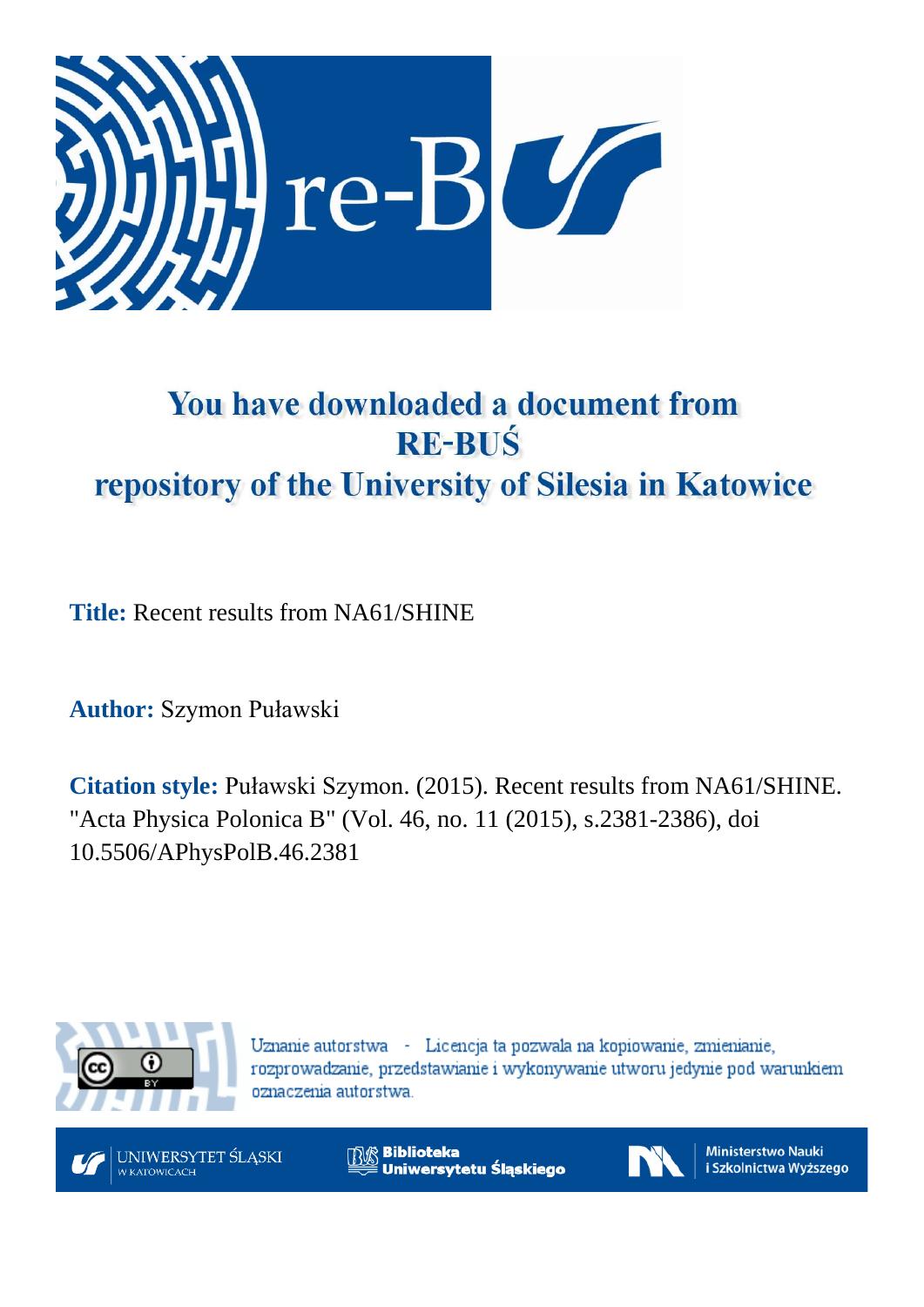

# You have downloaded a document from **RE-BUŚ** repository of the University of Silesia in Katowice

**Title:** Recent results from NA61/SHINE

**Author:** Szymon Puławski

**Citation style:** Puławski Szymon. (2015). Recent results from NA61/SHINE. "Acta Physica Polonica B" (Vol. 46, no. 11 (2015), s.2381-2386), doi 10.5506/APhysPolB.46.2381



Uznanie autorstwa - Licencja ta pozwala na kopiowanie, zmienianie, rozprowadzanie, przedstawianie i wykonywanie utworu jedynie pod warunkiem oznaczenia autorstwa.



**Biblioteka** Uniwersytetu Śląskiego



**Ministerstwo Nauki** i Szkolnictwa Wyższego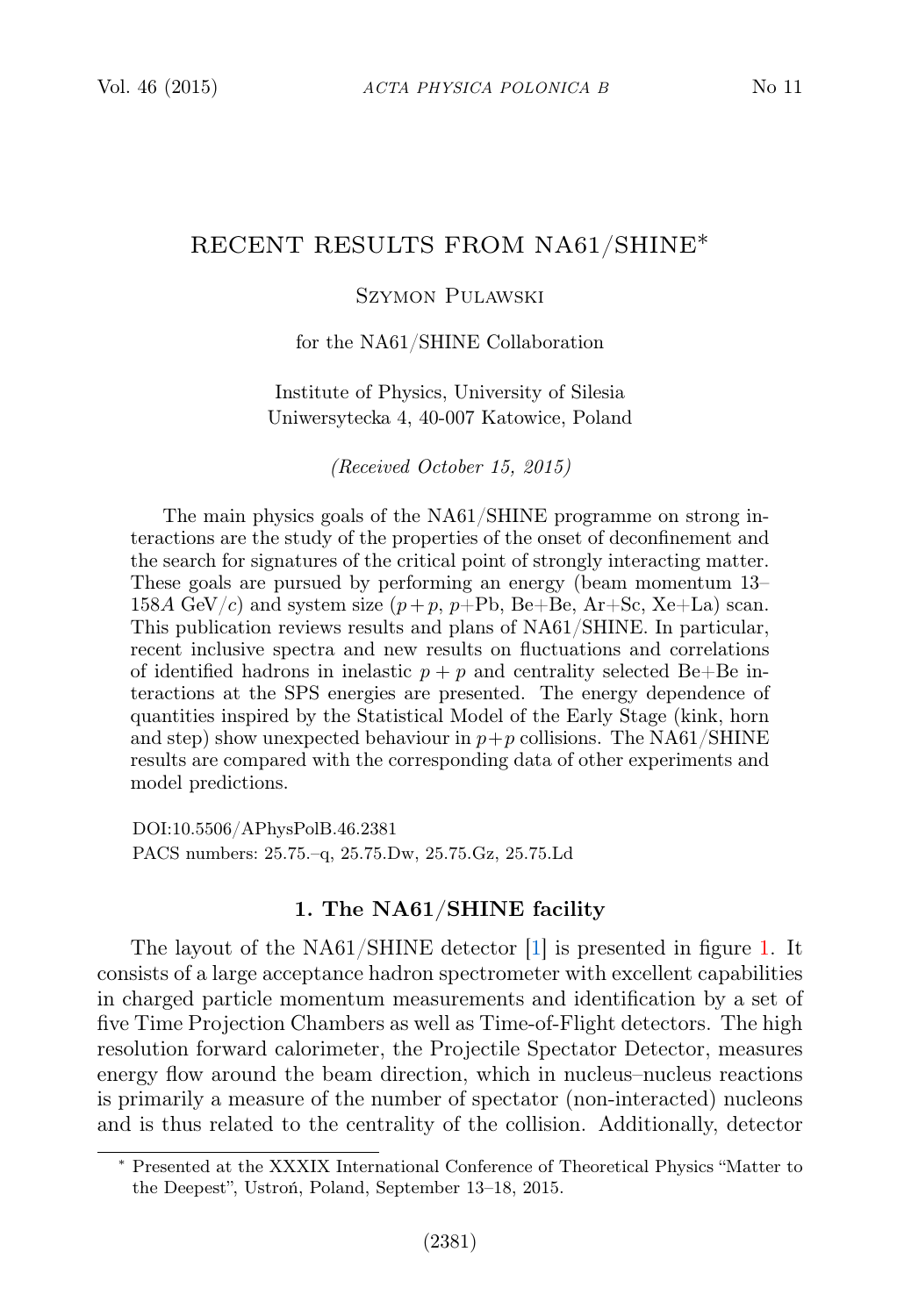# RECENT RESULTS FROM NA61/SHINE∗

## Szymon Pulawski

#### for the NA61/SHINE Collaboration

### Institute of Physics, University of Silesia Uniwersytecka 4, 40-007 Katowice, Poland

(Received October 15, 2015)

The main physics goals of the NA61/SHINE programme on strong interactions are the study of the properties of the onset of deconfinement and the search for signatures of the critical point of strongly interacting matter. These goals are pursued by performing an energy (beam momentum 13– 158A GeV/c) and system size  $(p+p, p+Pb, Be+Be, Ar+Sc, Xe+La)$  scan. This publication reviews results and plans of NA61/SHINE. In particular, recent inclusive spectra and new results on fluctuations and correlations of identified hadrons in inelastic  $p + p$  and centrality selected Be+Be interactions at the SPS energies are presented. The energy dependence of quantities inspired by the Statistical Model of the Early Stage (kink, horn and step) show unexpected behaviour in  $p+p$  collisions. The NA61/SHINE results are compared with the corresponding data of other experiments and model predictions.

DOI:10.5506/APhysPolB.46.2381 PACS numbers: 25.75.–q, 25.75.Dw, 25.75.Gz, 25.75.Ld

## 1. The NA61/SHINE facility

The layout of the NA61/SHINE detector [\[1\]](#page-6-0) is presented in figure [1.](#page-2-0) It consists of a large acceptance hadron spectrometer with excellent capabilities in charged particle momentum measurements and identification by a set of five Time Projection Chambers as well as Time-of-Flight detectors. The high resolution forward calorimeter, the Projectile Spectator Detector, measures energy flow around the beam direction, which in nucleus–nucleus reactions is primarily a measure of the number of spectator (non-interacted) nucleons and is thus related to the centrality of the collision. Additionally, detector

<sup>∗</sup> Presented at the XXXIX International Conference of Theoretical Physics "Matter to the Deepest", Ustroń, Poland, September 13–18, 2015.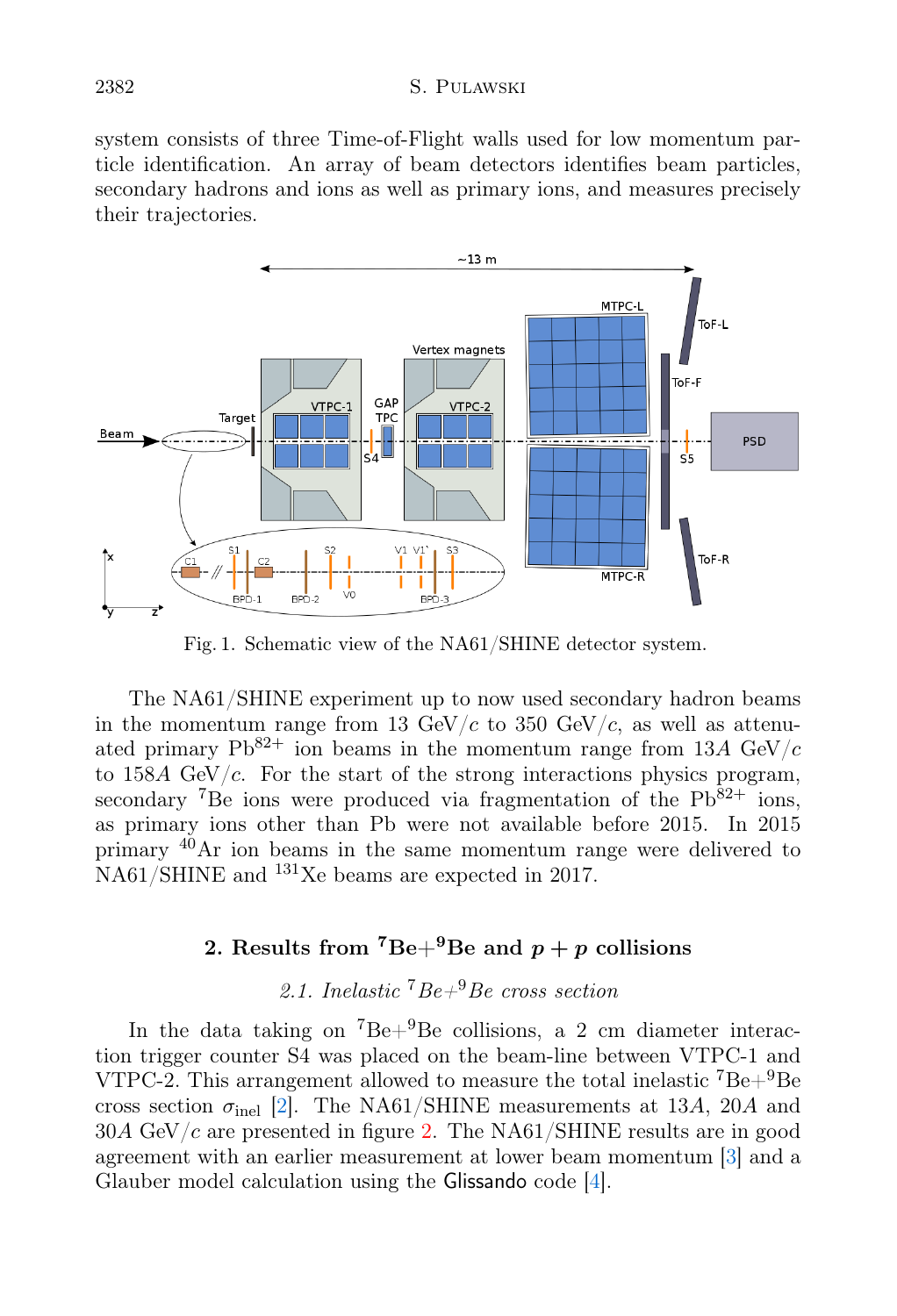system consists of three Time-of-Flight walls used for low momentum particle identification. An array of beam detectors identifies beam particles, secondary hadrons and ions as well as primary ions, and measures precisely their trajectories.



<span id="page-2-0"></span>Fig. 1. Schematic view of the NA61/SHINE detector system.

The NA61/SHINE experiment up to now used secondary hadron beams in the momentum range from 13 GeV/c to 350 GeV/c, as well as attenuated primary  $Pb^{82+}$  ion beams in the momentum range from 13A GeV/c to  $158A \text{ GeV}/c$ . For the start of the strong interactions physics program, secondary <sup>7</sup>Be ions were produced via fragmentation of the  $Pb^{82+}$  ions, as primary ions other than Pb were not available before 2015. In 2015 primary <sup>40</sup>Ar ion beams in the same momentum range were delivered to NA61/SHINE and <sup>131</sup>Xe beams are expected in 2017.

## 2. Results from <sup>7</sup>Be+<sup>9</sup>Be and  $p + p$  collisions

# 2.1. Inelastic  $^7Be+^9Be$  cross section

In the data taking on  ${}^{7}Be+{}^{9}Be$  collisions, a 2 cm diameter interaction trigger counter S4 was placed on the beam-line between VTPC-1 and VTPC-2. This arrangement allowed to measure the total inelastic  $^7Be+{}^9Be$ cross section  $\sigma_{\text{inel}}$  [\[2\]](#page-6-1). The NA61/SHINE measurements at 13A, 20A and  $30A \text{ GeV}/c$  are presented in figure [2.](#page-3-0) The NA61/SHINE results are in good agreement with an earlier measurement at lower beam momentum [\[3\]](#page-6-2) and a Glauber model calculation using the Glissando code [\[4\]](#page-6-3).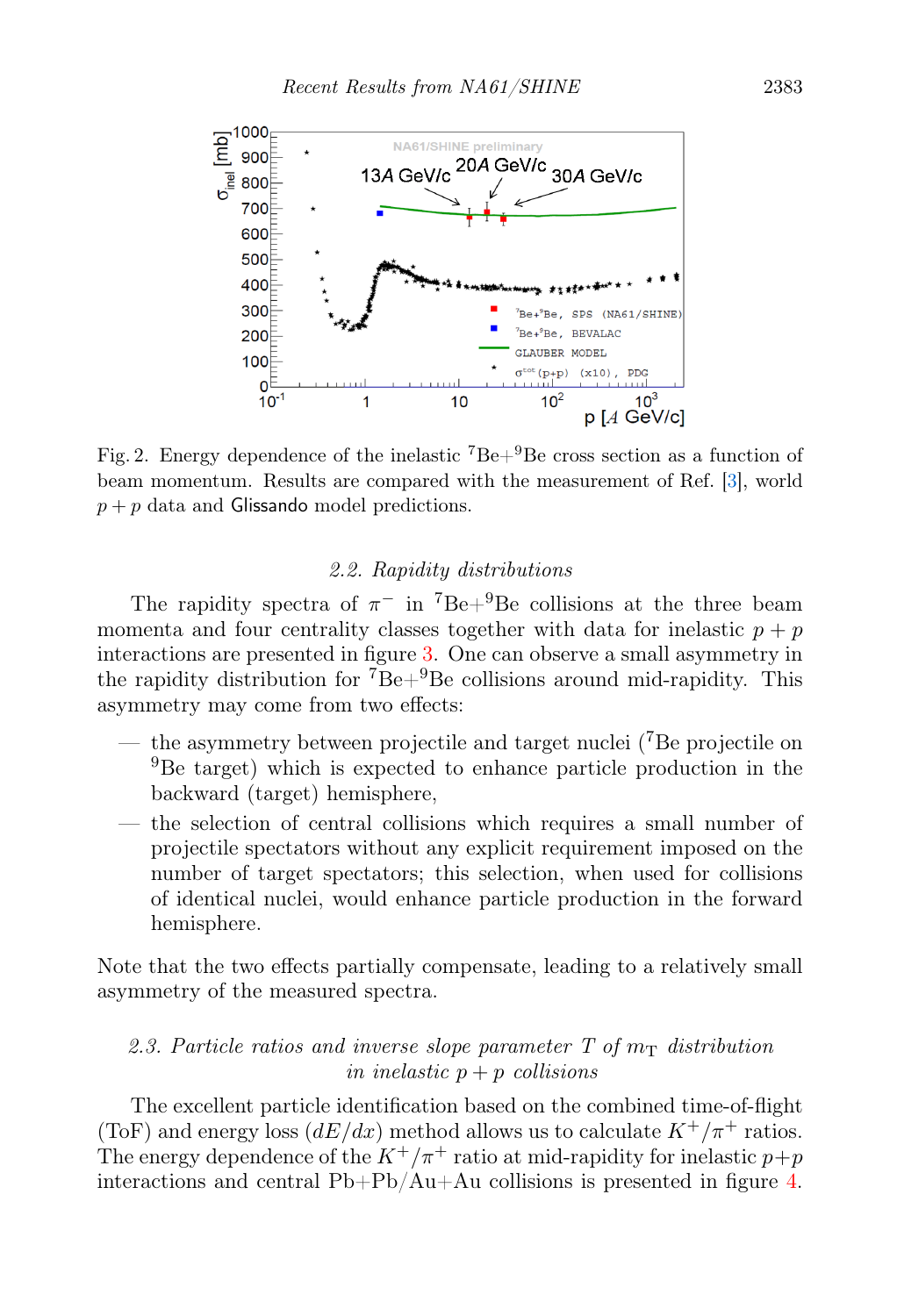

<span id="page-3-0"></span>Fig. 2. Energy dependence of the inelastic  $^7Be+{}^9Be$  cross section as a function of beam momentum. Results are compared with the measurement of Ref. [\[3\]](#page-6-2), world  $p + p$  data and Glissando model predictions.

### 2.2. Rapidity distributions

The rapidity spectra of  $\pi^-$  in <sup>7</sup>Be+<sup>9</sup>Be collisions at the three beam momenta and four centrality classes together with data for inelastic  $p + p$ interactions are presented in figure [3.](#page-4-0) One can observe a small asymmetry in the rapidity distribution for  ${}^{7}Be+{}^{9}Be$  collisions around mid-rapidity. This asymmetry may come from two effects:

- the asymmetry between projectile and target nuclei  $^{7}$ Be projectile on <sup>9</sup>Be target) which is expected to enhance particle production in the backward (target) hemisphere,
- the selection of central collisions which requires a small number of projectile spectators without any explicit requirement imposed on the number of target spectators; this selection, when used for collisions of identical nuclei, would enhance particle production in the forward hemisphere.

Note that the two effects partially compensate, leading to a relatively small asymmetry of the measured spectra.

## 2.3. Particle ratios and inverse slope parameter T of  $m<sub>T</sub>$  distribution in inelastic  $p + p$  collisions

The excellent particle identification based on the combined time-of-flight (ToF) and energy loss  $(dE/dx)$  method allows us to calculate  $K^+/\pi^+$  ratios. The energy dependence of the  $K^+/\pi^+$  ratio at mid-rapidity for inelastic  $p+p$ interactions and central Pb+Pb/Au+Au collisions is presented in figure [4.](#page-5-0)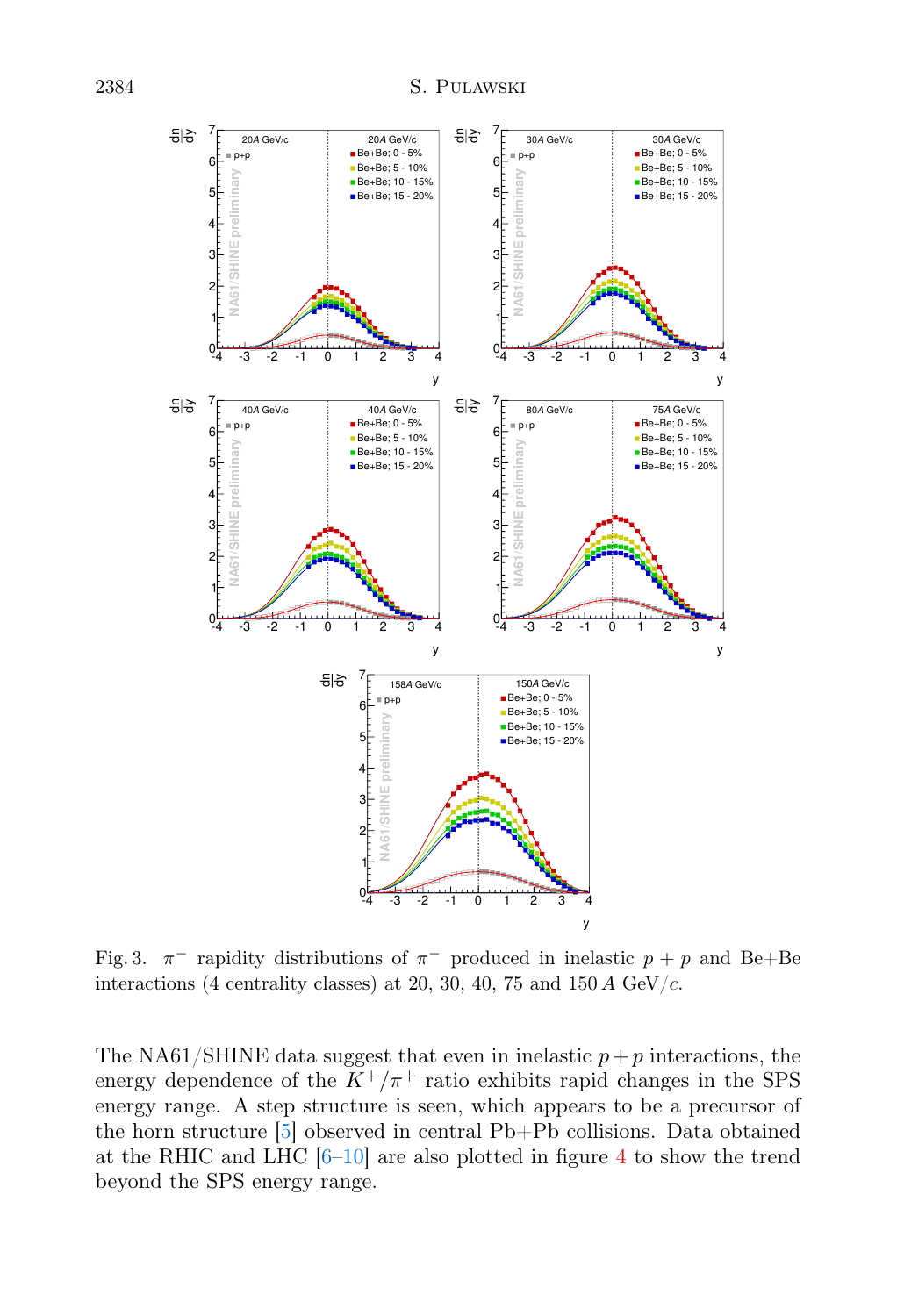

<span id="page-4-0"></span>Fig. 3.  $\pi^-$  rapidity distributions of  $\pi^-$  produced in inelastic  $p + p$  and Be+Be interactions (4 centrality classes) at 20, 30, 40, 75 and 150 A GeV/ $c$ .

The NA61/SHINE data suggest that even in inelastic  $p+p$  interactions, the energy dependence of the  $K^+/\pi^+$  ratio exhibits rapid changes in the SPS energy range. A step structure is seen, which appears to be a precursor of the horn structure [\[5\]](#page-6-4) observed in central Pb+Pb collisions. Data obtained at the RHIC and LHC  $[6–10]$  $[6–10]$  are also plotted in figure [4](#page-5-0) to show the trend beyond the SPS energy range.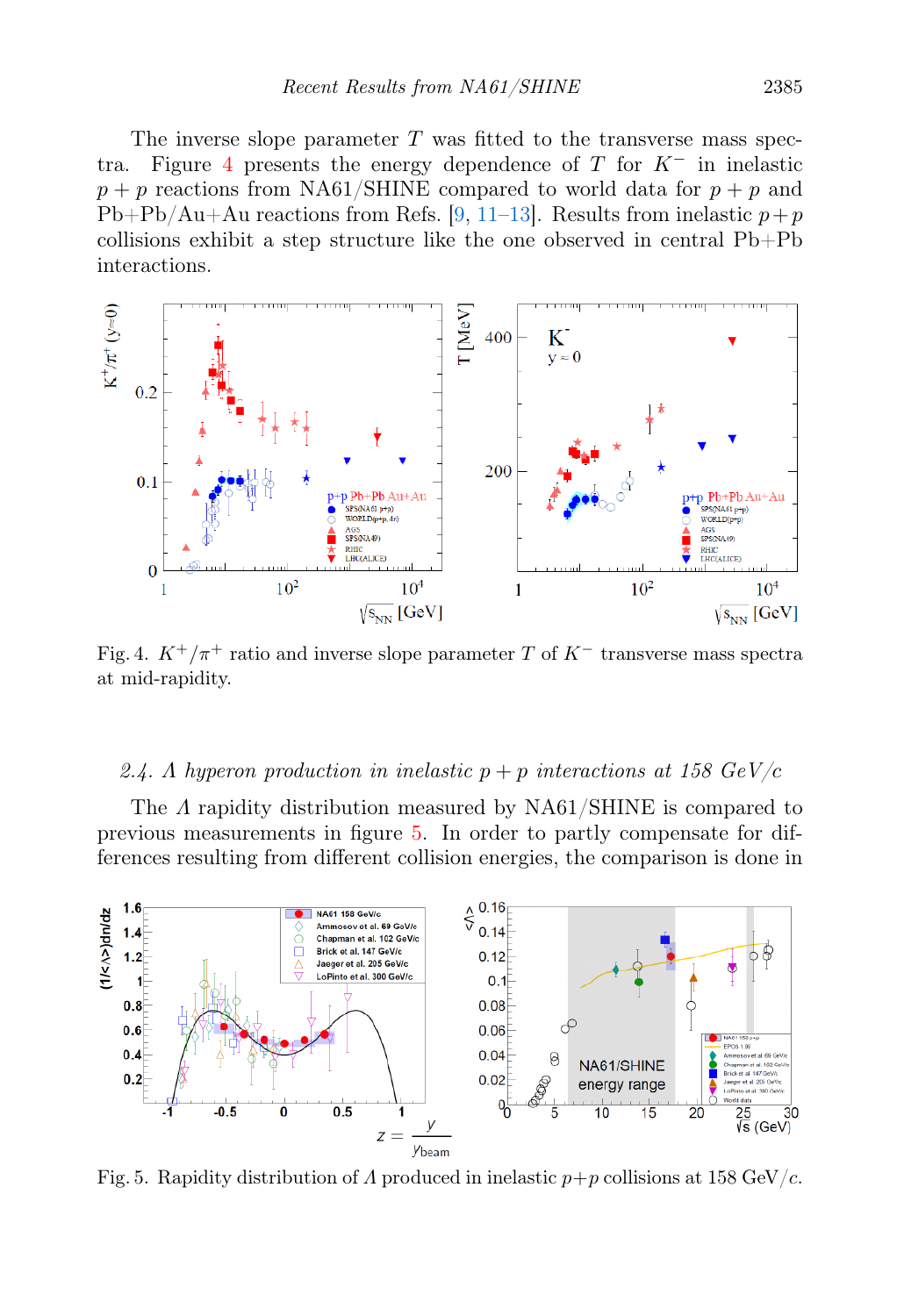The inverse slope parameter  $T$  was fitted to the transverse mass spec-tra. Figure [4](#page-5-0) presents the energy dependence of T for  $K^-$  in inelastic  $p + p$  reactions from NA61/SHINE compared to world data for  $p + p$  and  $Pb+Pb/Au+Au$  reactions from Refs. [\[9,](#page-6-7) [11–](#page-6-8)[13\]](#page-6-9). Results from inelastic  $p+p$ collisions exhibit a step structure like the one observed in central Pb+Pb interactions.



<span id="page-5-0"></span>Fig. 4.  $K^+/\pi^+$  ratio and inverse slope parameter T of  $K^-$  transverse mass spectra at mid-rapidity.

#### 2.4. A hyperon production in inelastic  $p + p$  interactions at 158 GeV/c

The A rapidity distribution measured by NA61/SHINE is compared to previous measurements in figure [5.](#page-5-1) In order to partly compensate for differences resulting from different collision energies, the comparison is done in



<span id="page-5-1"></span>Fig. 5. Rapidity distribution of  $\Lambda$  produced in inelastic  $p+p$  collisions at 158 GeV/c.